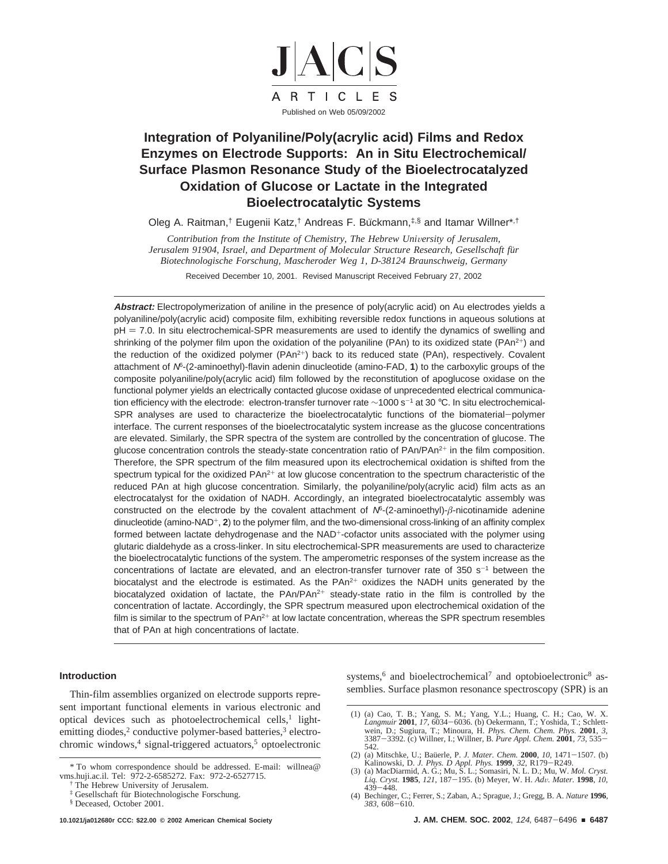

# **Integration of Polyaniline/Poly(acrylic acid) Films and Redox Enzymes on Electrode Supports: An in Situ Electrochemical/ Surface Plasmon Resonance Study of the Bioelectrocatalyzed Oxidation of Glucose or Lactate in the Integrated Bioelectrocatalytic Systems**

Oleg A. Raitman,<sup>†</sup> Eugenii Katz,<sup>†</sup> Andreas F. Bückmann,<sup>‡,§</sup> and Itamar Willner\*,<sup>†</sup>

*Contribution from the Institute of Chemistry, The Hebrew University of Jerusalem, Jerusalem 91904, Israel, and Department of Molecular Structure Research, Gesellschaft für Biotechnologische Forschung, Mascheroder Weg 1, D-38124 Braunschweig, Germany* Received December 10, 2001. Revised Manuscript Received February 27, 2002

**Abstract:** Electropolymerization of aniline in the presence of poly(acrylic acid) on Au electrodes yields a polyaniline/poly(acrylic acid) composite film, exhibiting reversible redox functions in aqueous solutions at pH = 7.0. In situ electrochemical-SPR measurements are used to identify the dynamics of swelling and shrinking of the polymer film upon the oxidation of the polyaniline (PAn) to its oxidized state (PAn<sup>2+</sup>) and the reduction of the oxidized polymer  $(PAn^{2+})$  back to its reduced state  $(PAn)$ , respectively. Covalent attachment of <sup>N</sup>6-(2-aminoethyl)-flavin adenin dinucleotide (amino-FAD, **1**) to the carboxylic groups of the composite polyaniline/poly(acrylic acid) film followed by the reconstitution of apoglucose oxidase on the functional polymer yields an electrically contacted glucose oxidase of unprecedented electrical communication efficiency with the electrode: electron-transfer turnover rate ~1000 s<sup>-1</sup> at 30 °C. In situ electrochemical-SPR analyses are used to characterize the bioelectrocatalytic functions of the biomaterial-polymer interface. The current responses of the bioelectrocatalytic system increase as the glucose concentrations are elevated. Similarly, the SPR spectra of the system are controlled by the concentration of glucose. The glucose concentration controls the steady-state concentration ratio of PAn/PAn<sup>2+</sup> in the film composition. Therefore, the SPR spectrum of the film measured upon its electrochemical oxidation is shifted from the spectrum typical for the oxidized  $PAn^{2+}$  at low glucose concentration to the spectrum characteristic of the reduced PAn at high glucose concentration. Similarly, the polyaniline/poly(acrylic acid) film acts as an electrocatalyst for the oxidation of NADH. Accordingly, an integrated bioelectrocatalytic assembly was constructed on the electrode by the covalent attachment of  $N^6$ - $(2$ -aminoethyl)- $\beta$ -nicotinamide adenine dinucleotide (amino-NAD<sup>+</sup>, 2) to the polymer film, and the two-dimensional cross-linking of an affinity complex formed between lactate dehydrogenase and the NAD<sup>+</sup>-cofactor units associated with the polymer using glutaric dialdehyde as a cross-linker. In situ electrochemical-SPR measurements are used to characterize the bioelectrocatalytic functions of the system. The amperometric responses of the system increase as the concentrations of lactate are elevated, and an electron-transfer turnover rate of 350  $s^{-1}$  between the biocatalyst and the electrode is estimated. As the  $PAn^{2+}$  oxidizes the NADH units generated by the biocatalyzed oxidation of lactate, the PAn/PAn<sup>2+</sup> steady-state ratio in the film is controlled by the concentration of lactate. Accordingly, the SPR spectrum measured upon electrochemical oxidation of the film is similar to the spectrum of  $PAn^{2+}$  at low lactate concentration, whereas the SPR spectrum resembles that of PAn at high concentrations of lactate.

# **Introduction**

Thin-film assemblies organized on electrode supports represent important functional elements in various electronic and optical devices such as photoelectrochemical cells, $<sup>1</sup>$  light-</sup> emitting diodes,<sup>2</sup> conductive polymer-based batteries,<sup>3</sup> electrochromic windows,<sup>4</sup> signal-triggered actuators,<sup>5</sup> optoelectronic

systems,<sup>6</sup> and bioelectrochemical<sup>7</sup> and optobioelectronic<sup>8</sup> assemblies. Surface plasmon resonance spectroscopy (SPR) is an

<sup>\*</sup> To whom correspondence should be addressed. E-mail: willnea@ vms.huji.ac.il. Tel: 972-2-6585272. Fax: 972-2-6527715.

<sup>†</sup> The Hebrew University of Jerusalem.

<sup>‡</sup> Gesellschaft fu¨r Biotechnologische Forschung.

<sup>§</sup> Deceased, October 2001.

<sup>(1) (</sup>a) Cao, T. B.; Yang, S. M.; Yang, Y.L.; Huang, C. H.; Cao, W. X. *Langmuir* **2001**, 17, 6034–6036. (b) Oekermann, T.; Yoshida, T.; Schlett-<br>wein, D.; Sugiura, T.; Minoura, H. *Phys. Chem. Chem. Phys.* **2001**, 3,<br>3387–3392. (c) Willner, I.; Willner, B. Pure Appl. Chem. **2001**, 73, 535–<br>5 542.

<sup>(2) (</sup>a) Mitschke, U.; Baüerle, P. *J. Mater. Chem.* **2000**, *10*, 1471-1507. (b) Kalinowski, D. *J. Phys. D Appl. Phys.* **<sup>1999</sup>**, *<sup>32</sup>*, R179-R249.

<sup>(3) (</sup>a) MacDiarmid, A. G.; Mu, S. L.; Somasiri, N. L. D.; Mu, W. *Mol. Cryst. Liq. Cryst.* **<sup>1985</sup>**, *<sup>121</sup>*, 187-195. (b) Meyer, W. H. *Ad*V*. Mater.* **<sup>1998</sup>**, *<sup>10</sup>*,

<sup>439</sup>-448. (4) Bechinger, C.; Ferrer, S.; Zaban, A.; Sprague, J.; Gregg, B. A. *Nature* **<sup>1996</sup>**, *<sup>383</sup>*, 608-610.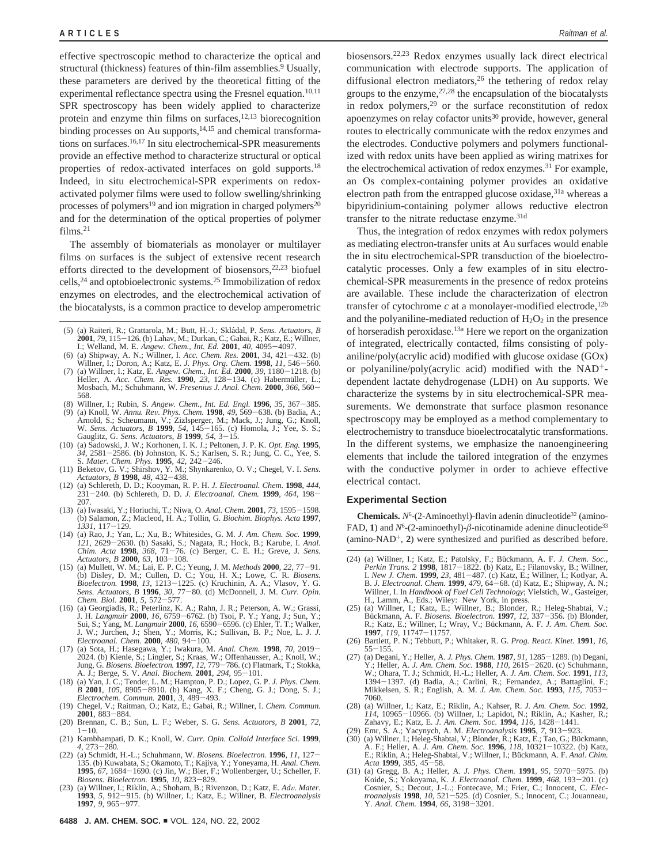effective spectroscopic method to characterize the optical and structural (thickness) features of thin-film assemblies.<sup>9</sup> Usually, these parameters are derived by the theoretical fitting of the experimental reflectance spectra using the Fresnel equation.<sup>10,11</sup> SPR spectroscopy has been widely applied to characterize protein and enzyme thin films on surfaces, $12,13$  biorecognition binding processes on Au supports, $14,15$  and chemical transformations on surfaces.16,17 In situ electrochemical-SPR measurements provide an effective method to characterize structural or optical properties of redox-activated interfaces on gold supports.<sup>18</sup> Indeed, in situ electrochemical-SPR experiments on redoxactivated polymer films were used to follow swelling/shrinking processes of polymers<sup>19</sup> and ion migration in charged polymers<sup>20</sup> and for the determination of the optical properties of polymer  $films<sup>21</sup>$ 

The assembly of biomaterials as monolayer or multilayer films on surfaces is the subject of extensive recent research efforts directed to the development of biosensors,  $22,23$  biofuel cells,24 and optobioelectronic systems.25 Immobilization of redox enzymes on electrodes, and the electrochemical activation of the biocatalysts, is a common practice to develop amperometric

- (5) (a) Raiteri, R.; Grattarola, M.; Butt, H.-J.; Skla´dal, P. *Sens. Actuators, B*
- **2001**, 79, 115–126. (b) Lahav, M.; Durkan, C.; Gabai, R.; Katz, E.; Willner, I.; Welland, M. E. *Angew. Chem., Int. Ed.* **2001**, 40, 4095–4097. (6) (a) Shipway, A. N.; Willner, I. *Acc. Chem. Res.* **2001**, 34, 421–432. (
- Willner, I.; Doron, A.; Katz, E. *J. Phys. Org. Chem.* **1998**, *11*, 546–560.<br>
(7) (a) Willner, I.; Katz, E. *Angew. Chem., Int. Ed.* **2000**, 39, 1180-1218. (b)<br>
Heller. A. *Acc. Chem. Res.* **1990**. 23, 128–134. (c) Haberm Heller, A. *Acc. Chem. Res.* **1990**, 23, 128-134. (c) Habermüller, L.; Mosbach, M.; Schuhmann, W. *Fresenius J. Anal. Chem.* **<sup>2000</sup>**, *<sup>366</sup>*, 560- 568.
- 
- (8) Willner, I.; Rubin, S. Angew. Chem., Int. Ed. Engl. **1996**, 35, 367–385. (9) (a) Knoll, W. Annu. Rev. Phys. Chem. **1998**, 49, 569–638. (b) Badia, A.; Arnold, S.; Scheumann, V.; Zizlsperger, M.; Mack, J.; Jung, G.; Knol W. *Sens. Actuators, B* **1999**, 54, 145–165. (c) Homola, J.; Yee, S. S.;<br>Gauglitz, G. *Sens. Actuators, B* **1999**, 54, 3-15.<br>(a) Sadowski. J. W.: Korhonen. I. K. J.: Peltonen. J. P. K. *Opt. Ene*. **1995**.
- (10) (a) Sadowski, J. W.; Korhonen, I. K. J.; Peltonen, J. P. K. Opt. Eng. 1995,  $34$ , 2581-2586. (b) Johnston, K. S.; Karlsen, S. R.; Jung, C. C., Yee, S. S. Mater. Chem. Phys. 1995, 42. 2446.<br>S. Mater. Chem. Phys. 1995,
- (11) Beketov, G. V.; Shirshov, Y. M.; Shynkarenko, O. V.; Chegel, V. I. *Sens. Actuators, B* **<sup>1998</sup>**, *<sup>48</sup>*, 432-438.
- (12) (a) Schlereth, D. D.; Kooyman, R. P. H. *J. Electroanal. Chem.* **<sup>1998</sup>**, *<sup>444</sup>*, <sup>231</sup>-240. (b) Schlereth, D. D. *J. Electroanal. Chem.* **<sup>1999</sup>**, *<sup>464</sup>*, 198- 207.
- (13) (a) Iwasaki, Y.; Horiuchi, T.; Niwa, O. *Anal. Chem.* **<sup>2001</sup>**, *<sup>73</sup>*, 1595-1598. (b) Salamon, Z.; Macleod, H. A.; Tollin, G. *Biochim. Biophys. Acta* **1997**, *<sup>1331</sup>*, 117-129.
- (14) (a) Rao, J.; Yan, L.; Xu, B.; Whitesides, G. M. *J. Am. Chem. Soc.* **1999**, *<sup>121</sup>*, 2629-2630. (b) Sasaki, S.; Nagata, R.; Hock, B.; Karube, I. *Anal. Chim. Acta* **<sup>1998</sup>**, *<sup>368</sup>*, 71-76. (c) Berger, C. E. H.; Greve, J. *Sens.*
- Actuators, B 2000, 63, 103-108.<br>
(15) (a) Mullett, W. M.; Lai, E. P. C.; Yeung, J. M. Methods 2000, 22, 77-91.<br>
(b) Disley, D. M.; Cullen, D. C.; You, H. X.; Lowe, C. R. Biosens.<br>
Bioelectron. 1998, 13, 1213-1225. (c) Kruc
- Sens. Actuators, B 1996, 30, 77–80. (d) McDonnell, J. M. Curr. Opin.<br>Chem. Biol. 2001, 5, 572–577.<br>(16) (a) Georgiadis, R.; Peterlinz, K. A.; Rahn, J. R.; Peterson, A. W.; Grassi,<br>J. H. Langmuir 2000, 16, 6759–6762. (b) Ts J. W.; Jurchen, J.; Shen, Y.; Morris, K.; Sullivan, B. P.; Noe, L. J. *J. Electroanal. Chem.* **<sup>2000</sup>**, *<sup>480</sup>*, 94-100.
- (17) (a) Sota, H.; Hasegawa, Y.; Iwakura, M. Anal. Chem. **1998**, 70, 2019–2024. (b) Kienle, S.; Lingler, S.; Kraas, W.; Offenhausser, A.; Knoll, W.; Jung, G. Biosens. Bioelectron. **1997**, 12, 779–786. (c) Flatmark, T.; St
- A. J.; Berge, S. V. Anal. Biochem. 2001, 294, 95-101.<br>
(18) (a) Yan, J. C.; Tender, L. M.; Hampton, P. D.; Lopez, G. P. J. Phys. Chem.<br>
B 2001, 105, 8905-8910. (b) Kang, X. F.; Cheng, G. J.; Dong, S. J.;<br>
Electrochem. Comm
- (19) Chegel, V.; Raitman, O.; Katz, E.; Gabai, R.; Willner, I. *Chem. Commun.* **<sup>2001</sup>**, 883-884. (20) Brennan, C. B.; Sun, L. F.; Weber, S. G. *Sens. Actuators, B* **2001**, *72*,
- <sup>1</sup>-10. (21) Kambhampati, D. K.; Knoll, W. *Curr. Opin. Colloid Interface Sci.* **1999**,
- *4*, 273–280.<br>(22) (a) Schmidt, H.-L.; Schuhmann, W. Biosens. Bioelectron. **1996**, *11*, 127–
- (22) (a) Schmidt, H.-L.; Schuhmann, W. *Biosens. Bioelectron.* **<sup>1996</sup>**, *<sup>11</sup>*, 127- 135. (b) Kuwabata, S.; Okamoto, T.; Kajiya, Y.; Yoneyama, H. *Anal. Chem.* **<sup>1995</sup>**, *<sup>67</sup>*, 1684-1690. (c) Jin, W.; Bier, F.; Wollenberger, U.; Scheller, F.
- Biosens. Bioelectron. **1995**, 10, 823–829.<br>(23) (a) Willner, I.; Riklin, A.; Shoham, B.; Rivenzon, D.; Katz, E. *Adv. Mater*.<br>**1993**, 5, 912–915. (b) Willner, I.; Katz, E.; Willner, B. *Electroanalysis*<br>**1997**, 9, 965–977.

biosensors.22,23 Redox enzymes usually lack direct electrical communication with electrode supports. The application of diffusional electron mediators,<sup>26</sup> the tethering of redox relay groups to the enzyme,  $27,28$  the encapsulation of the biocatalysts in redox polymers,29 or the surface reconstitution of redox apoenzymes on relay cofactor units<sup>30</sup> provide, however, general routes to electrically communicate with the redox enzymes and the electrodes. Conductive polymers and polymers functionalized with redox units have been applied as wiring matrixes for the electrochemical activation of redox enzymes.<sup>31</sup> For example, an Os complex-containing polymer provides an oxidative electron path from the entrapped glucose oxidase,<sup>31a</sup> whereas a bipyridinium-containing polymer allows reductive electron transfer to the nitrate reductase enzyme.31d

Thus, the integration of redox enzymes with redox polymers as mediating electron-transfer units at Au surfaces would enable the in situ electrochemical-SPR transduction of the bioelectrocatalytic processes. Only a few examples of in situ electrochemical-SPR measurements in the presence of redox proteins are available. These include the characterization of electron transfer of cytochrome  $c$  at a monolayer-modified electrode,<sup>12b</sup> and the polyaniline-mediated reduction of  $H_2O_2$  in the presence of horseradish peroxidase.13a Here we report on the organization of integrated, electrically contacted, films consisting of polyaniline/poly(acrylic acid) modified with glucose oxidase (GOx) or polyaniline/poly(acrylic acid) modified with the NAD+ dependent lactate dehydrogenase (LDH) on Au supports. We characterize the systems by in situ electrochemical-SPR measurements. We demonstrate that surface plasmon resonance spectroscopy may be employed as a method complementary to electrochemistry to transduce bioelectrocatalytic transformations. In the different systems, we emphasize the nanoengineering elements that include the tailored integration of the enzymes with the conductive polymer in order to achieve effective electrical contact.

#### **Experimental Section**

**Chemicals.**  $N^6$ -(2-Aminoethyl)-flavin adenin dinucleotide<sup>32</sup> (amino-FAD, 1) and  $N^6$ -(2-aminoethyl)- $\beta$ -nicotinamide adenine dinucleotide<sup>33</sup>  $(\text{amino-NAD}^+, 2)$  were synthesized and purified as described before.

- (24) (a) Willner, I.; Katz, E.; Patolsky, F.; Bückmann, A. F. *J. Chem. Soc.,*<br> *Perkin Trans. 2* **1998**, 1817-1822. (b) Katz, E.; Filanovsky, B.; Willner, I.<br> *I. New J. Chem.* **1999**, 23, 481-487. (c) Katz, E.; Willner, I. *New J. Chem.* **<sup>1999</sup>**, *<sup>23</sup>*, 481-487. (c) Katz, E.; Willner, I.; Kotlyar, A. B. *J. Electroanal. Chem.* **<sup>1999</sup>**, *<sup>479</sup>*, 64-68. (d) Katz, E.; Shipway, A. N.; Willner, I. In *Handbook of Fuel Cell Technology*; Vielstich, W., Gasteiger,
- H., Lamm, A., Eds.; Wiley: New York, in press.<br>(25) (a) Willner, I.; Katz, E.; Willner, B.; Blonder, R.; Heleg-Shabtai, V.;<br>Bückmann, A. F. *Biosens. Bioelectron.* **1997**, *12,* 337–356. (b) Blonder,<br>R.: Katz, E.: Willner. R.; Katz, E.; Willner, I.; Wray, V.; Bückmann, A. F. J. Am. Chem. Soc.
- **1997**, *119*, 11747-11757.<br>
(26) Bartlett, P. N.; Tebbutt, P.; Whitaker, R. G. *Prog. React. Kinet.* **1991**, *16*, 55-155.<br>
(27) (a) Degani. Y.: Heller. A. *J. Phys. Chem.* **1987**. 91. 1285-1289. (b) Degani.
- (27) (a) Degani, Y.; Heller, A. *J. Phys. Chem.* **<sup>1987</sup>**, *<sup>91</sup>*, 1285-1289. (b) Degani, Y.; Heller, A. *J. Am. Chem. Soc.* **<sup>1988</sup>**, *<sup>110</sup>*, 2615-2620. (c) Schuhmann, W.; Ohara, T. J.; Schmidt, H.-L.; Heller, A. *J. Am. Chem. Soc.* **1991**, *113*, <sup>1394</sup>-1397. (d) Badia, A.; Carlini, R.; Fernandez, A.; Battaglini, F.; Mikkelsen, S. R.; English, A. M. *J. Am. Chem. Soc.* **<sup>1993</sup>**, *<sup>115</sup>*, 7053- 7060.
- (28) (a) Willner, I.; Katz, E.; Riklin, A.; Kahser, R. *J. Am. Chem. Soc.* **1992**, *<sup>114</sup>*, 10965-10966. (b) Willner, I.; Lapidot, N.; Riklin, A.; Kasher, R.; Zahavy, E.; Katz, E. J. Am. Chem. Soc. 1994, 116, 1428–1441.<br>(29) Emr, S. A.; Yacynych, A. M. *Electroanalysis* 1995, 7, 913–923.<br>(30) (a) Willner, I.; Heleg-Shabtai, V.; Blonder, R.; Katz, E.; Tao, G.; Bückmann,
- 
- A. F.; Heller, A. *J. Am. Chem. Soc.* **1996**, *118*, 10321-10322. (b) Katz, *E.*; Riklin, A.; Heleg-Shabtai, V.; Willner, I.; Bückmann, A. F. *Anal. Chim.*
- *Acta* **1999**, *385*, 45–58.<br>
(31) (a) Gregg, B. A.; Heller, A. *J. Phys. Chem.* **1991**, *95*, 5970–5975. (b)<br> *Koide, S.: Yokovama, K. J. Electroanal, Chem. 1999, 468, 193–201. (c)* Koide, S.; Yokoyama, K. *J. Electroanal. Chem.* **<sup>1999</sup>**, *<sup>468</sup>*, 193-201. (c) Cosnier, S.; Decout, J.-L.; Fontecave, M.; Frier, C.; Innocent, C. *Elec-troanalysis* **<sup>1998</sup>**, *<sup>10</sup>*, 521-525. (d) Cosnier, S.; Innocent, C.; Jouanneau, Y. *Anal. Chem.* **<sup>1994</sup>**, *<sup>66</sup>*, 3198-3201.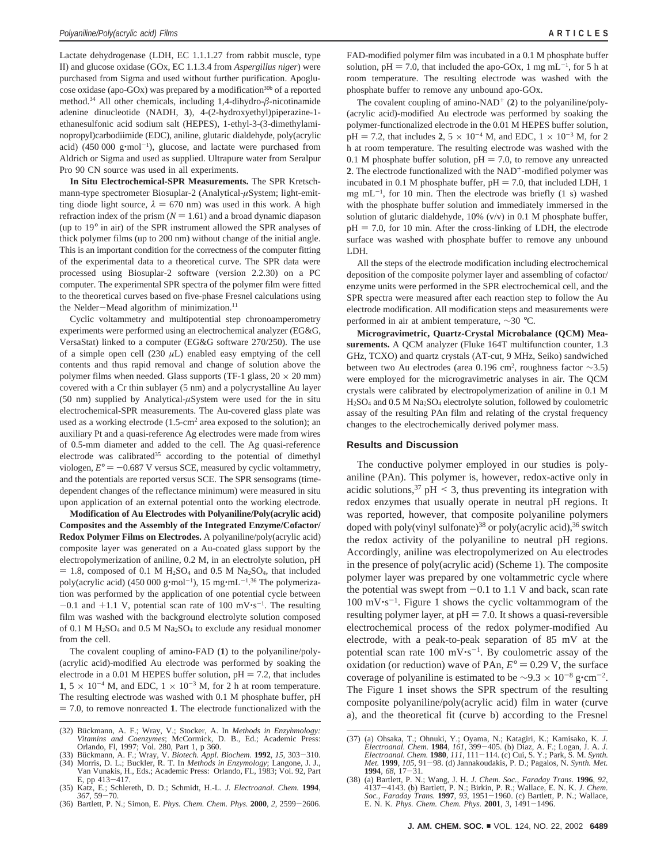Lactate dehydrogenase (LDH, EC 1.1.1.27 from rabbit muscle, type II) and glucose oxidase (GOx, EC 1.1.3.4 from *Aspergillus niger*) were purchased from Sigma and used without further purification. Apoglucose oxidase (apo-GOx) was prepared by a modification<sup>30b</sup> of a reported method.34 All other chemicals, including 1,4-dihydro-*â*-nicotinamide adenine dinucleotide (NADH, **3**), 4-(2-hydroxyethyl)piperazine-1 ethanesulfonic acid sodium salt (HEPES), 1-ethyl-3-(3-dimethylaminopropyl)carbodiimide (EDC), aniline, glutaric dialdehyde, poly(acrylic acid)  $(450\ 000\ \text{g/mol}^{-1})$ , glucose, and lactate were purchased from<br>Aldrich or Sigma and used as supplied Ultrapure water from Serabur Aldrich or Sigma and used as supplied. Ultrapure water from Seralpur Pro 90 CN source was used in all experiments.

**In Situ Electrochemical-SPR Measurements.** The SPR Kretschmann-type spectrometer Biosuplar-2 (Analytical-*µ*System; light-emitting diode light source,  $\lambda = 670$  nm) was used in this work. A high refraction index of the prism  $(N = 1.61)$  and a broad dynamic diapason (up to 19° in air) of the SPR instrument allowed the SPR analyses of thick polymer films (up to 200 nm) without change of the initial angle. This is an important condition for the correctness of the computer fitting of the experimental data to a theoretical curve. The SPR data were processed using Biosuplar-2 software (version 2.2.30) on a PC computer. The experimental SPR spectra of the polymer film were fitted to the theoretical curves based on five-phase Fresnel calculations using the Nelder-Mead algorithm of minimization.<sup>11</sup>

Cyclic voltammetry and multipotential step chronoamperometry experiments were performed using an electrochemical analyzer (EG&G, VersaStat) linked to a computer (EG&G software 270/250). The use of a simple open cell  $(230 \mu L)$  enabled easy emptying of the cell contents and thus rapid removal and change of solution above the polymer films when needed. Glass supports (TF-1 glass,  $20 \times 20$  mm) covered with a Cr thin sublayer (5 nm) and a polycrystalline Au layer (50 nm) supplied by Analytical- $\mu$ System were used for the in situ electrochemical-SPR measurements. The Au-covered glass plate was used as a working electrode  $(1.5\text{-cm}^2 \text{ area exposed to the solution});$  and auxiliary Pt and a quasi-reference Ag electrodes were made from wires of 0.5-mm diameter and added to the cell. The Ag quasi-reference electrode was calibrated<sup>35</sup> according to the potential of dimethyl viologen,  $E^{\circ} = -0.687$  V versus SCE, measured by cyclic voltammetry, and the potentials are reported versus SCE. The SPR sensograms (timedependent changes of the reflectance minimum) were measured in situ upon application of an external potential onto the working electrode.

**Modification of Au Electrodes with Polyaniline/Poly(acrylic acid) Composites and the Assembly of the Integrated Enzyme/Cofactor/ Redox Polymer Films on Electrodes.** A polyaniline/poly(acrylic acid) composite layer was generated on a Au-coated glass support by the electropolymerization of aniline, 0.2 M, in an electrolyte solution, pH  $= 1.8$ , composed of 0.1 M H<sub>2</sub>SO<sub>4</sub> and 0.5 M Na<sub>2</sub>SO<sub>4</sub>, that included poly(acrylic acid)  $(450\ 000\ \text{g}\cdot\text{mol}^{-1})$ , 15 mg $\cdot \text{mL}^{-1.36}$  The polymerization was performed by the application of one potential cycle between tion was performed by the application of one potential cycle between  $-0.1$  and  $+1.1$  V, potential scan rate of 100 mV $\cdot$ s<sup>-1</sup>. The resulting film was washed with the background electrolyte solution composed film was washed with the background electrolyte solution composed of 0.1 M  $H_2SO_4$  and 0.5 M Na<sub>2</sub>SO<sub>4</sub> to exclude any residual monomer from the cell.

The covalent coupling of amino-FAD (**1**) to the polyaniline/poly- (acrylic acid)-modified Au electrode was performed by soaking the electrode in a 0.01 M HEPES buffer solution,  $pH = 7.2$ , that includes  $1, 5 \times 10^{-4}$  M, and EDC,  $1 \times 10^{-3}$  M, for 2 h at room temperature. The resulting electrode was washed with 0.1 M phosphate buffer, pH ) 7.0, to remove nonreacted **<sup>1</sup>**. The electrode functionalized with the FAD-modified polymer film was incubated in a 0.1 M phosphate buffer solution,  $pH = 7.0$ , that included the apo-GOx, 1 mg mL<sup>-1</sup>, for 5 h at room temperature. The resulting electrode was washed with the room temperature. The resulting electrode was washed with the phosphate buffer to remove any unbound apo-GOx.

The covalent coupling of amino-NAD<sup>+</sup> (2) to the polyaniline/poly-(acrylic acid)-modified Au electrode was performed by soaking the polymer-functionalized electrode in the 0.01 M HEPES buffer solution,  $pH = 7.2$ , that includes 2, 5  $\times$  10<sup>-4</sup> M, and EDC, 1  $\times$  10<sup>-3</sup> M, for 2 h at room temperature. The resulting electrode was washed with the 0.1 M phosphate buffer solution,  $pH = 7.0$ , to remove any unreacted **2**. The electrode functionalized with the NAD+-modified polymer was incubated in 0.1 M phosphate buffer,  $pH = 7.0$ , that included LDH, 1 mg mL-<sup>1</sup> , for 10 min. Then the electrode was briefly (1 s) washed with the phosphate buffer solution and immediately immersed in the solution of glutaric dialdehyde, 10% (v/v) in 0.1 M phosphate buffer,  $pH = 7.0$ , for 10 min. After the cross-linking of LDH, the electrode surface was washed with phosphate buffer to remove any unbound LDH.

All the steps of the electrode modification including electrochemical deposition of the composite polymer layer and assembling of cofactor/ enzyme units were performed in the SPR electrochemical cell, and the SPR spectra were measured after each reaction step to follow the Au electrode modification. All modification steps and measurements were performed in air at ambient temperature, ∼30 °C.

**Microgravimetric, Quartz-Crystal Microbalance (QCM) Measurements.** A QCM analyzer (Fluke 164T multifunction counter, 1.3 GHz, TCXO) and quartz crystals (AT-cut, 9 MHz, Seiko) sandwiched between two Au electrodes (area 0.196 cm<sup>2</sup>, roughness factor  $\sim$ 3.5) were employed for the microgravimetric analyses in air. The QCM crystals were calibrated by electropolymerization of aniline in 0.1 M  $H<sub>2</sub>SO<sub>4</sub>$  and 0.5 M Na<sub>2</sub>SO<sub>4</sub> electrolyte solution, followed by coulometric assay of the resulting PAn film and relating of the crystal frequency changes to the electrochemically derived polymer mass.

### **Results and Discussion**

The conductive polymer employed in our studies is polyaniline (PAn). This polymer is, however, redox-active only in acidic solutions,  $37$  pH  $\leq$  3, thus preventing its integration with redox enzymes that usually operate in neutral pH regions. It was reported, however, that composite polyaniline polymers doped with poly(vinyl sulfonate)<sup>38</sup> or poly(acrylic acid),<sup>36</sup> switch the redox activity of the polyaniline to neutral pH regions. Accordingly, aniline was electropolymerized on Au electrodes in the presence of poly(acrylic acid) (Scheme 1). The composite polymer layer was prepared by one voltammetric cycle where the potential was swept from  $-0.1$  to 1.1 V and back, scan rate  $100 \text{ mV·s}^{-1}$ . Figure 1 shows the cyclic voltammogram of the resulting polymer layer, at  $pH = 7.0$ . It shows a quasi-reversible electrochemical process of the redox polymer-modified Au electrode, with a peak-to-peak separation of 85 mV at the potential scan rate 100 mV $\cdot$ s<sup>-1</sup>. By coulometric assay of the oxidation (or reduction) wave of PAn,  $E^{\circ} = 0.29$  V, the surface coverage of polyaniline is estimated to be  $\sim$ 9.3 × 10<sup>-8</sup> g⋅cm<sup>-2</sup>. The Figure 1 inset shows the SPR spectrum of the resulting composite polyaniline/poly(acrylic acid) film in water (curve a), and the theoretical fit (curve b) according to the Fresnel

<sup>(32)</sup> Bückmann, A. F.; Wray, V.; Stocker, A. In *Methods in Enzyhmology*: *Vitamins and Coenzymes*; McCormick, D. B., Ed.; Academic Press: Orlando, Fl, 1997; Vol. 280, Part 1, p 360.

<sup>(33)</sup> Bückmann, A. F.; Wray, V. *Biotech. Appl. Biochem.* **1992**, *15*, 303–310.<br>(34) Morris, D. L.; Buckler, R. T. In *Methods in Enzymology*; Langone, J. J.,

Van Vunakis, H., Eds.; Academic Press: Orlando, FL, 1983; Vol. 92, Part E, pp 413-417. (35) Katz, E.; Schlereth, D. D.; Schmidt, H.-L. *J. Electroanal. Chem.* **1994**,

*<sup>367</sup>*, 59-70. (36) Bartlett, P. N.; Simon, E. *Phys. Chem. Chem. Phys.* **<sup>2000</sup>**, *<sup>2</sup>*, 2599-2606.

<sup>(37) (</sup>a) Ohsaka, T.; Ohnuki, Y.; Oyama, N.; Katagiri, K.; Kamisako, K. J.<br>Electroanal. Chem. 1984, 161, 399-405. (b) Diaz, A. F.; Logan, J. A. J.<br>Electroanal. Chem. 1980, 111, 111-114. (c) Cui, S. Y.; Park, S. M. Synth.<br>Me *Met.* **<sup>1999</sup>***, 105,* <sup>91</sup>-98. (d) Jannakoudakis, P. D.; Pagalos, N. *Synth. Met.* **<sup>1994</sup>***, 68,* <sup>17</sup>-31*.* (38) (a) Bartlett, P. N.; Wang, J. H. *J. Chem. Soc., Faraday Trans.* **1996**, *92*,

<sup>4137</sup>-4143. (b) Bartlett, P. N.; Birkin, P. R.; Wallace, E. N. K. *J. Chem. Soc., Faraday Trans.* **<sup>1997</sup>**, *<sup>93</sup>*, 1951-1960. (c) Bartlett, P. N.; Wallace, E. N. K. *Phys. Chem. Chem. Phys.* **<sup>2001</sup>**, *<sup>3</sup>*, 1491-1496.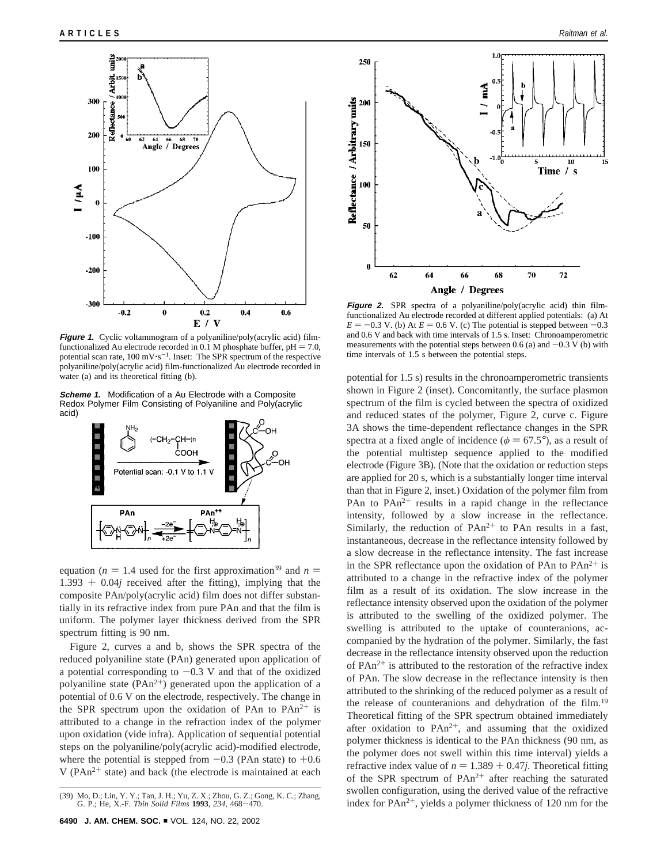

**Figure 1.** Cyclic voltammogram of a polyaniline/poly(acrylic acid) filmfunctionalized Au electrode recorded in 0.1 M phosphate buffer,  $pH = 7.0$ , potential scan rate,  $100 \text{ mV·s}^{-1}$ . Inset: The SPR spectrum of the respective polyaniline/poly(acrylic acid) film-functionalized Au electrode recorded in water (a) and its theoretical fitting (b).

**Scheme 1.** Modification of a Au Electrode with a Composite Redox Polymer Film Consisting of Polyaniline and Poly(acrylic acid)



equation ( $n = 1.4$  used for the first approximation<sup>39</sup> and  $n =$  $1.393 + 0.04j$  received after the fitting), implying that the composite PAn/poly(acrylic acid) film does not differ substantially in its refractive index from pure PAn and that the film is uniform. The polymer layer thickness derived from the SPR spectrum fitting is 90 nm.

Figure 2, curves a and b, shows the SPR spectra of the reduced polyaniline state (PAn) generated upon application of a potential corresponding to  $-0.3$  V and that of the oxidized polyaniline state  $(PAn^{2+})$  generated upon the application of a potential of 0.6 V on the electrode, respectively. The change in the SPR spectrum upon the oxidation of PAn to  $PAn^{2+}$  is attributed to a change in the refraction index of the polymer upon oxidation (vide infra). Application of sequential potential steps on the polyaniline/poly(acrylic acid)-modified electrode, where the potential is stepped from  $-0.3$  (PAn state) to  $+0.6$ V ( $PAn^{2+}$  state) and back (the electrode is maintained at each



**Figure 2.** SPR spectra of a polyaniline/poly(acrylic acid) thin filmfunctionalized Au electrode recorded at different applied potentials: (a) At  $E = -0.3$  V. (b) At  $E = 0.6$  V. (c) The potential is stepped between  $-0.3$ and 0.6 V and back with time intervals of 1.5 s. Inset: Chronoamperometric measurements with the potential steps between 0.6 (a) and  $-0.3$  V (b) with time intervals of 1.5 s between the potential steps.

potential for 1.5 s) results in the chronoamperometric transients shown in Figure 2 (inset). Concomitantly, the surface plasmon spectrum of the film is cycled between the spectra of oxidized and reduced states of the polymer, Figure 2, curve c. Figure 3A shows the time-dependent reflectance changes in the SPR spectra at a fixed angle of incidence ( $\phi = 67.5^{\circ}$ ), as a result of the potential multistep sequence applied to the modified electrode (Figure 3B). (Note that the oxidation or reduction steps are applied for 20 s, which is a substantially longer time interval than that in Figure 2, inset.) Oxidation of the polymer film from PAn to  $PAn^{2+}$  results in a rapid change in the reflectance intensity, followed by a slow increase in the reflectance. Similarly, the reduction of  $PAn^{2+}$  to PAn results in a fast, instantaneous, decrease in the reflectance intensity followed by a slow decrease in the reflectance intensity. The fast increase in the SPR reflectance upon the oxidation of PAn to  $PAn^{2+}$  is attributed to a change in the refractive index of the polymer film as a result of its oxidation. The slow increase in the reflectance intensity observed upon the oxidation of the polymer is attributed to the swelling of the oxidized polymer. The swelling is attributed to the uptake of counteranions, accompanied by the hydration of the polymer. Similarly, the fast decrease in the reflectance intensity observed upon the reduction of  $PAn^{2+}$  is attributed to the restoration of the refractive index of PAn. The slow decrease in the reflectance intensity is then attributed to the shrinking of the reduced polymer as a result of the release of counteranions and dehydration of the film.<sup>19</sup> Theoretical fitting of the SPR spectrum obtained immediately after oxidation to  $PAn^{2+}$ , and assuming that the oxidized polymer thickness is identical to the PAn thickness (90 nm, as the polymer does not swell within this time interval) yields a refractive index value of  $n = 1.389 + 0.47j$ . Theoretical fitting of the SPR spectrum of  $PAn^{2+}$  after reaching the saturated swollen configuration, using the derived value of the refractive (39) Mo, D.; Lin, Y. Y.; Tan, J. H.; Yu, Z. X.; Zhou, G. Z.; Gong, K. C.; Zhang,<br>
G. P.; He, X.-F. Thin Solid Films 1993, 234, 468–470.<br>
index for PAn<sup>2+</sup>, yields a polymer thickness of 120 nm for the

G. P.; He, X.-F. *Thin Solid Films* **<sup>1993</sup>**, *<sup>234</sup>*, 468-470.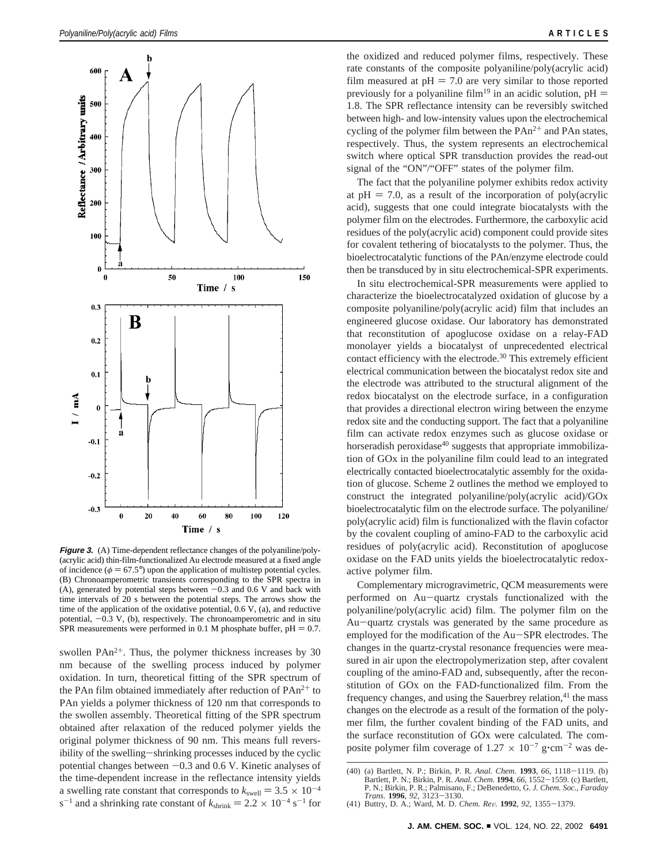

**Figure 3.** (A) Time-dependent reflectance changes of the polyaniline/poly- (acrylic acid) thin-film-functionalized Au electrode measured at a fixed angle of incidence ( $\phi = 67.5^{\circ}$ ) upon the application of multistep potential cycles. (B) Chronoamperometric transients corresponding to the SPR spectra in (A), generated by potential steps between  $-0.3$  and 0.6 V and back with time intervals of 20 s between the potential steps. The arrows show the time of the application of the oxidative potential, 0.6 V, (a), and reductive potential,  $-0.3$  V, (b), respectively. The chronoamperometric and in situ SPR measurements were performed in 0.1 M phosphate buffer,  $pH = 0.7$ .

swollen  $PAn^{2+}$ . Thus, the polymer thickness increases by 30 nm because of the swelling process induced by polymer oxidation. In turn, theoretical fitting of the SPR spectrum of the PAn film obtained immediately after reduction of  $PAn^{2+}$  to PAn yields a polymer thickness of 120 nm that corresponds to the swollen assembly. Theoretical fitting of the SPR spectrum obtained after relaxation of the reduced polymer yields the original polymer thickness of 90 nm. This means full reversibility of the swelling-shrinking processes induced by the cyclic potential changes between  $-0.3$  and 0.6 V. Kinetic analyses of the time-dependent increase in the reflectance intensity yields a swelling rate constant that corresponds to  $k_{\text{swell}} = 3.5 \times 10^{-4}$  $s^{-1}$  and a shrinking rate constant of  $k_{\text{shrink}} = 2.2 \times 10^{-4} \text{ s}^{-1}$  for the oxidized and reduced polymer films, respectively. These rate constants of the composite polyaniline/poly(acrylic acid) film measured at  $pH = 7.0$  are very similar to those reported previously for a polyaniline film<sup>19</sup> in an acidic solution,  $pH =$ 1.8. The SPR reflectance intensity can be reversibly switched between high- and low-intensity values upon the electrochemical cycling of the polymer film between the  $PAn^{2+}$  and  $PAn$  states, respectively. Thus, the system represents an electrochemical switch where optical SPR transduction provides the read-out signal of the "ON"/"OFF" states of the polymer film.

The fact that the polyaniline polymer exhibits redox activity at  $pH = 7.0$ , as a result of the incorporation of poly(acrylic acid), suggests that one could integrate biocatalysts with the polymer film on the electrodes. Furthermore, the carboxylic acid residues of the poly(acrylic acid) component could provide sites for covalent tethering of biocatalysts to the polymer. Thus, the bioelectrocatalytic functions of the PAn/enzyme electrode could then be transduced by in situ electrochemical-SPR experiments.

In situ electrochemical-SPR measurements were applied to characterize the bioelectrocatalyzed oxidation of glucose by a composite polyaniline/poly(acrylic acid) film that includes an engineered glucose oxidase. Our laboratory has demonstrated that reconstitution of apoglucose oxidase on a relay-FAD monolayer yields a biocatalyst of unprecedented electrical contact efficiency with the electrode.<sup>30</sup> This extremely efficient electrical communication between the biocatalyst redox site and the electrode was attributed to the structural alignment of the redox biocatalyst on the electrode surface, in a configuration that provides a directional electron wiring between the enzyme redox site and the conducting support. The fact that a polyaniline film can activate redox enzymes such as glucose oxidase or horseradish peroxidase $40$  suggests that appropriate immobilization of GOx in the polyaniline film could lead to an integrated electrically contacted bioelectrocatalytic assembly for the oxidation of glucose. Scheme 2 outlines the method we employed to construct the integrated polyaniline/poly(acrylic acid)/GOx bioelectrocatalytic film on the electrode surface. The polyaniline/ poly(acrylic acid) film is functionalized with the flavin cofactor by the covalent coupling of amino-FAD to the carboxylic acid residues of poly(acrylic acid). Reconstitution of apoglucose oxidase on the FAD units yields the bioelectrocatalytic redoxactive polymer film.

Complementary microgravimetric, QCM measurements were performed on Au-quartz crystals functionalized with the polyaniline/poly(acrylic acid) film. The polymer film on the Au-quartz crystals was generated by the same procedure as employed for the modification of the Au-SPR electrodes. The changes in the quartz-crystal resonance frequencies were measured in air upon the electropolymerization step, after covalent coupling of the amino-FAD and, subsequently, after the reconstitution of GOx on the FAD-functionalized film. From the frequency changes, and using the Sauerbrey relation,<sup>41</sup> the mass changes on the electrode as a result of the formation of the polymer film, the further covalent binding of the FAD units, and the surface reconstitution of GOx were calculated. The composite polymer film coverage of 1.27  $\times$  10<sup>-7</sup> g·cm<sup>-2</sup> was de-

<sup>(40) (</sup>a) Bartlett, N. P.; Birkin, P. R. *Anal. Chem.* **<sup>1993</sup>**, *<sup>66</sup>*, 1118-1119. (b) Bartlett, P. N.; Birkin, P. R. *Anal. Chem.* **<sup>1994</sup>**, *<sup>66</sup>*, 1552-1559. (c) Bartlett, P. N.; Birkin, P. R.; Palmisano, F.; DeBenedetto, G. *J. Chem. Soc., Faraday*

*Trans.* **<sup>1996</sup>**, *<sup>92</sup>*, 3123-3130. (41) Buttry, D. A.; Ward, M. D. *Chem. Re*V*.* **<sup>1992</sup>**, *<sup>92</sup>*, 1355-1379.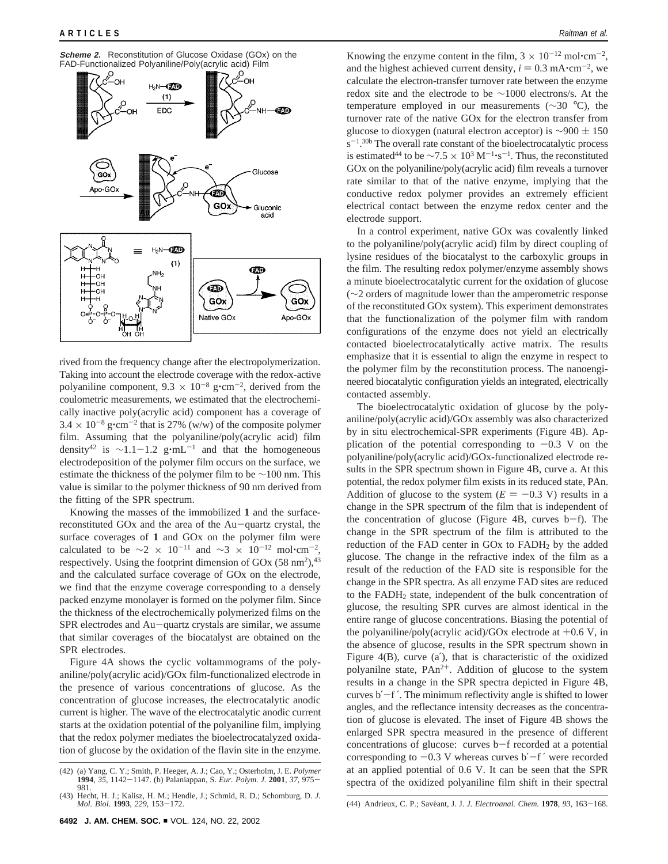

rived from the frequency change after the electropolymerization. Taking into account the electrode coverage with the redox-active polyaniline component,  $9.3 \times 10^{-8}$  g $\cdot$ cm<sup>-2</sup>, derived from the coulometric measurements, we estimated that the electrochemically inactive poly(acrylic acid) component has a coverage of  $3.4 \times 10^{-8}$  g $\cdot$ cm<sup>-2</sup> that is 27% (w/w) of the composite polymer film. Assuming that the polyaniline/poly(acrylic acid) film density<sup>42</sup> is ~1.1-1.2 g⋅mL<sup>-1</sup> and that the homogeneous electrodeposition of the polymer film occurs on the surface, we estimate the thickness of the polymer film to be ∼100 nm. This value is similar to the polymer thickness of 90 nm derived from the fitting of the SPR spectrum.

Knowing the masses of the immobilized **1** and the surfacereconstituted GOx and the area of the Au-quartz crystal, the surface coverages of **1** and GOx on the polymer film were calculated to be  $\sim$ 2 × 10<sup>-11</sup> and  $\sim$ 3 × 10<sup>-12</sup> mol•cm<sup>-2</sup>, respectively. Using the footprint dimension of GOx  $(58 \text{ nm}^2)$ ,<sup>43</sup> and the calculated surface coverage of GOx on the electrode, we find that the enzyme coverage corresponding to a densely packed enzyme monolayer is formed on the polymer film. Since the thickness of the electrochemically polymerized films on the SPR electrodes and Au-quartz crystals are similar, we assume that similar coverages of the biocatalyst are obtained on the SPR electrodes.

Figure 4A shows the cyclic voltammograms of the polyaniline/poly(acrylic acid)/GOx film-functionalized electrode in the presence of various concentrations of glucose. As the concentration of glucose increases, the electrocatalytic anodic current is higher. The wave of the electrocatalytic anodic current starts at the oxidation potential of the polyaniline film, implying that the redox polymer mediates the bioelectrocatalyzed oxidation of glucose by the oxidation of the flavin site in the enzyme.

Knowing the enzyme content in the film,  $3 \times 10^{-12}$  mol $\cdot$ cm<sup>-2</sup>, and the highest achieved current density,  $i = 0.3$  mA $\cdot$ cm<sup>-2</sup>, we calculate the electron-transfer turnover rate between the enzyme redox site and the electrode to be ∼1000 electrons/s. At the temperature employed in our measurements (∼30 °C), the turnover rate of the native GOx for the electron transfer from glucose to dioxygen (natural electron acceptor) is  $\sim$ 900  $\pm$  150  $s^{-1}$ .<sup>30b</sup> The overall rate constant of the bioelectrocatalytic process is estimated<sup>44</sup> to be ∼7.5 × 10<sup>3</sup> M<sup>-1</sup>⋅s<sup>-1</sup>. Thus, the reconstituted GOx on the polyaniline/poly(acrylic acid) film reveals a turnover rate similar to that of the native enzyme, implying that the conductive redox polymer provides an extremely efficient electrical contact between the enzyme redox center and the electrode support.

In a control experiment, native GOx was covalently linked to the polyaniline/poly(acrylic acid) film by direct coupling of lysine residues of the biocatalyst to the carboxylic groups in the film. The resulting redox polymer/enzyme assembly shows a minute bioelectrocatalytic current for the oxidation of glucose (∼2 orders of magnitude lower than the amperometric response of the reconstituted GOx system). This experiment demonstrates that the functionalization of the polymer film with random configurations of the enzyme does not yield an electrically contacted bioelectrocatalytically active matrix. The results emphasize that it is essential to align the enzyme in respect to the polymer film by the reconstitution process. The nanoengineered biocatalytic configuration yields an integrated, electrically contacted assembly.

The bioelectrocatalytic oxidation of glucose by the polyaniline/poly(acrylic acid)/GOx assembly was also characterized by in situ electrochemical-SPR experiments (Figure 4B). Application of the potential corresponding to  $-0.3$  V on the polyaniline/poly(acrylic acid)/GOx-functionalized electrode results in the SPR spectrum shown in Figure 4B, curve a. At this potential, the redox polymer film exists in its reduced state, PAn. Addition of glucose to the system  $(E = -0.3 \text{ V})$  results in a change in the SPR spectrum of the film that is independent of the concentration of glucose (Figure 4B, curves  $b-f$ ). The change in the SPR spectrum of the film is attributed to the reduction of the FAD center in  $GOx$  to  $FADH<sub>2</sub>$  by the added glucose. The change in the refractive index of the film as a result of the reduction of the FAD site is responsible for the change in the SPR spectra. As all enzyme FAD sites are reduced to the FADH2 state, independent of the bulk concentration of glucose, the resulting SPR curves are almost identical in the entire range of glucose concentrations. Biasing the potential of the polyaniline/poly(acrylic acid)/GOx electrode at  $+0.6$  V, in the absence of glucose, results in the SPR spectrum shown in Figure 4(B), curve (a′), that is characteristic of the oxidized polyanilne state, PAn2+. Addition of glucose to the system results in a change in the SPR spectra depicted in Figure 4B, curves b′-<sup>f</sup> ′. The minimum reflectivity angle is shifted to lower angles, and the reflectance intensity decreases as the concentration of glucose is elevated. The inset of Figure 4B shows the enlarged SPR spectra measured in the presence of different concentrations of glucose: curves b-f recorded at a potential corresponding to  $-0.3$  V whereas curves b' $-f'$  were recorded at an applied potential of 0.6 V. It can be seen that the SPR spectra of the oxidized polyaniline film shift in their spectral

<sup>(42) (</sup>a) Yang, C. Y.; Smith, P. Heeger, A. J.; Cao, Y.; Osterholm, J. E. *Polymer* **<sup>1994</sup>**, *<sup>35</sup>*, 1142-1147. (b) Palaniappan, S. *Eur. Polym. J.* **<sup>2001</sup>**, *<sup>37</sup>*, 975- 981.

<sup>(43)</sup> Hecht, H. J.; Kalisz, H. M.; Hendle, J.; Schmid, R. D.; Schomburg, D. *J.*

*Mol. Biol.* **<sup>1993</sup>**, *<sup>229</sup>*, 153-172. (44) Andrieux, C. P.; Save´ant, J. J. *J. Electroanal. Chem.* **<sup>1978</sup>**, *<sup>93</sup>*, 163-168.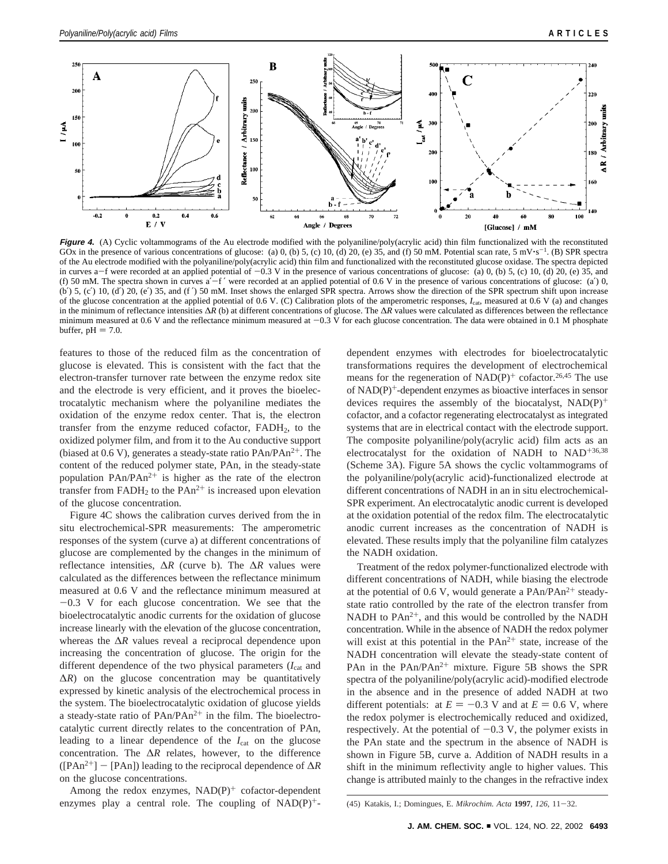

**Figure 4.** (A) Cyclic voltammograms of the Au electrode modified with the polyaniline/poly(acrylic acid) thin film functionalized with the reconstituted GOx in the presence of various concentrations of glucose: (a) 0, (b) 5, (c) 10, (d) 20, (e) 35, and (f) 50 mM. Potential scan rate, 5 mV $\cdot$ s<sup>-1</sup>. (B) SPR spectra of the Au electrode modified with the polyaniline/poly(acrylic acid) thin film and functionalized with the reconstituted glucose oxidase. The spectra depicted in curves a-f were recorded at an applied potential of  $-0.3$  V in the presence of various concentrations of glucose: (a) 0, (b) 5, (c) 10, (d) 20, (e) 35, and (f) 50 mM. The spectra shown in curves  $a^2 - f'$  were recorded at an applied potential of 0.6 V in the presence of various concentrations of glucose: (a') 0,  $(b')$  5,  $(c')$  10,  $(d')$  20,  $(e')$  35, and  $(f')$  50 mM. Inset shows the enlarged SPR spectra. Arrows show the direction of the SPR spectrum shift upon increase of the glucose concentration at the applied potential of 0.6 V. (C) Calibration plots of the amperometric responses, *I*cat, measured at 0.6 V (a) and changes in the minimum of reflectance intensities ∆*R* (b) at different concentrations of glucose. The ∆*R* values were calculated as differences between the reflectance minimum measured at 0.6 V and the reflectance minimum measured at  $-0.3$  V for each glucose concentration. The data were obtained in 0.1 M phosphate buffer,  $pH = 7.0$ .

features to those of the reduced film as the concentration of glucose is elevated. This is consistent with the fact that the electron-transfer turnover rate between the enzyme redox site and the electrode is very efficient, and it proves the bioelectrocatalytic mechanism where the polyaniline mediates the oxidation of the enzyme redox center. That is, the electron transfer from the enzyme reduced cofactor, FADH2, to the oxidized polymer film, and from it to the Au conductive support (biased at  $0.6$  V), generates a steady-state ratio  $PAn/PAn^{2+}$ . The content of the reduced polymer state, PAn, in the steady-state population  $PAn/PAn^{2+}$  is higher as the rate of the electron transfer from  $FADH<sub>2</sub>$  to the  $PAn<sup>2+</sup>$  is increased upon elevation of the glucose concentration.

Figure 4C shows the calibration curves derived from the in situ electrochemical-SPR measurements: The amperometric responses of the system (curve a) at different concentrations of glucose are complemented by the changes in the minimum of reflectance intensities, ∆*R* (curve b). The ∆*R* values were calculated as the differences between the reflectance minimum measured at 0.6 V and the reflectance minimum measured at  $-0.3$  V for each glucose concentration. We see that the bioelectrocatalytic anodic currents for the oxidation of glucose increase linearly with the elevation of the glucose concentration, whereas the ∆*R* values reveal a reciprocal dependence upon increasing the concentration of glucose. The origin for the different dependence of the two physical parameters (*I*cat and  $ΔR$ ) on the glucose concentration may be quantitatively expressed by kinetic analysis of the electrochemical process in the system. The bioelectrocatalytic oxidation of glucose yields a steady-state ratio of  $PAn/PAn^{2+}$  in the film. The bioelectrocatalytic current directly relates to the concentration of PAn, leading to a linear dependence of the *I*cat on the glucose concentration. The ∆*R* relates, however, to the difference ([PAn2+] - [PAn]) leading to the reciprocal dependence of <sup>∆</sup>*<sup>R</sup>* on the glucose concentrations.

Among the redox enzymes,  $NAD(P)^+$  cofactor-dependent enzymes play a central role. The coupling of  $NAD(P)^+$ -

dependent enzymes with electrodes for bioelectrocatalytic transformations requires the development of electrochemical means for the regeneration of  $NAD(P)^+$  cofactor.<sup>26,45</sup> The use of NAD(P)+-dependent enzymes as bioactive interfaces in sensor devices requires the assembly of the biocatalyst,  $NAD(P)^+$ cofactor, and a cofactor regenerating electrocatalyst as integrated systems that are in electrical contact with the electrode support. The composite polyaniline/poly(acrylic acid) film acts as an electrocatalyst for the oxidation of NADH to NAD+36,38 (Scheme 3A). Figure 5A shows the cyclic voltammograms of the polyaniline/poly(acrylic acid)-functionalized electrode at different concentrations of NADH in an in situ electrochemical-SPR experiment. An electrocatalytic anodic current is developed at the oxidation potential of the redox film. The electrocatalytic anodic current increases as the concentration of NADH is elevated. These results imply that the polyaniline film catalyzes the NADH oxidation.

Treatment of the redox polymer-functionalized electrode with different concentrations of NADH, while biasing the electrode at the potential of 0.6 V, would generate a PAn/PAn2+ steadystate ratio controlled by the rate of the electron transfer from NADH to  $PAn^{2+}$ , and this would be controlled by the NADH concentration. While in the absence of NADH the redox polymer will exist at this potential in the  $PAn^{2+}$  state, increase of the NADH concentration will elevate the steady-state content of PAn in the  $PAn/PAn^{2+}$  mixture. Figure 5B shows the SPR spectra of the polyaniline/poly(acrylic acid)-modified electrode in the absence and in the presence of added NADH at two different potentials: at  $E = -0.3$  V and at  $E = 0.6$  V, where the redox polymer is electrochemically reduced and oxidized, respectively. At the potential of  $-0.3$  V, the polymer exists in the PAn state and the spectrum in the absence of NADH is shown in Figure 5B, curve a. Addition of NADH results in a shift in the minimum reflectivity angle to higher values. This change is attributed mainly to the changes in the refractive index

<sup>(45)</sup> Katakis, I.; Domingues, E. *Mikrochim. Acta* **<sup>1997</sup>**, *<sup>126</sup>*, 11-32.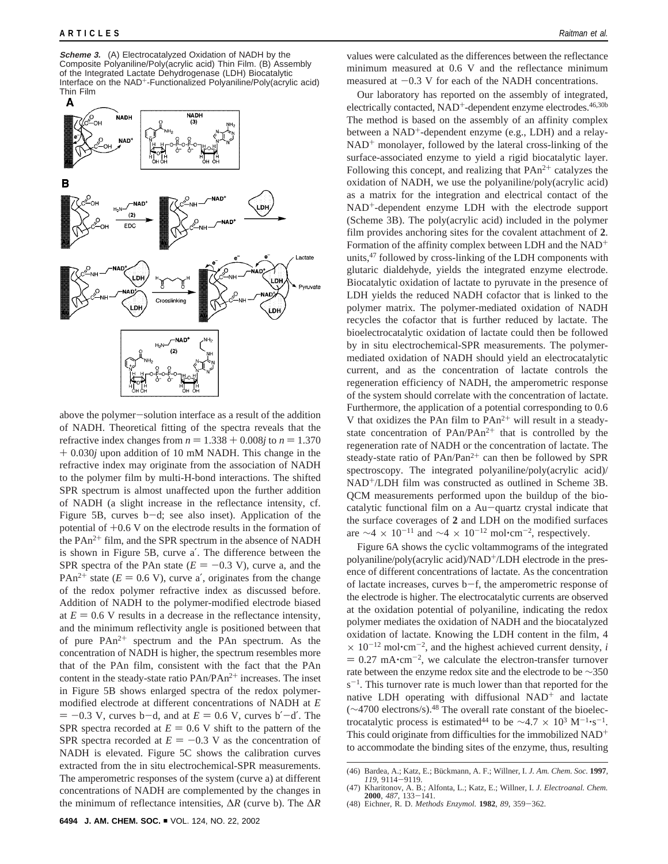**Scheme 3.** (A) Electrocatalyzed Oxidation of NADH by the Composite Polyaniline/Poly(acrylic acid) Thin Film. (B) Assembly of the Integrated Lactate Dehydrogenase (LDH) Biocatalytic Interface on the NAD+-Functionalized Polyaniline/Poly(acrylic acid) Thin Film



above the polymer-solution interface as a result of the addition of NADH. Theoretical fitting of the spectra reveals that the refractive index changes from  $n = 1.338 + 0.008j$  to  $n = 1.370$ + 0.030*<sup>j</sup>* upon addition of 10 mM NADH. This change in the refractive index may originate from the association of NADH to the polymer film by multi-H-bond interactions. The shifted SPR spectrum is almost unaffected upon the further addition of NADH (a slight increase in the reflectance intensity, cf. Figure 5B, curves b-d; see also inset). Application of the potential of +0.6 V on the electrode results in the formation of the PAn<sup>2+</sup> film, and the SPR spectrum in the absence of NADH is shown in Figure 5B, curve a′. The difference between the SPR spectra of the PAn state  $(E = -0.3 \text{ V})$ , curve a, and the PAn<sup>2+</sup> state ( $E = 0.6$  V), curve a', originates from the change of the redox polymer refractive index as discussed before. Addition of NADH to the polymer-modified electrode biased at  $E = 0.6$  V results in a decrease in the reflectance intensity, and the minimum reflectivity angle is positioned between that of pure  $PAn^{2+}$  spectrum and the PAn spectrum. As the concentration of NADH is higher, the spectrum resembles more that of the PAn film, consistent with the fact that the PAn content in the steady-state ratio PAn/PAn<sup>2+</sup> increases. The inset in Figure 5B shows enlarged spectra of the redox polymermodified electrode at different concentrations of NADH at *E*  $= -0.3$  V, curves b-d, and at  $E = 0.6$  V, curves b'-d'. The SPR spectra recorded at  $E = 0.6$  V shift to the pattern of the SPR spectra recorded at  $E = -0.3$  V as the concentration of NADH is elevated. Figure 5C shows the calibration curves extracted from the in situ electrochemical-SPR measurements. The amperometric responses of the system (curve a) at different concentrations of NADH are complemented by the changes in the minimum of reflectance intensities, ∆*R* (curve b). The ∆*R*

values were calculated as the differences between the reflectance minimum measured at 0.6 V and the reflectance minimum measured at  $-0.3$  V for each of the NADH concentrations.

Our laboratory has reported on the assembly of integrated, electrically contacted, NAD<sup>+</sup>-dependent enzyme electrodes.<sup>46,30b</sup> The method is based on the assembly of an affinity complex between a NAD<sup>+</sup>-dependent enzyme (e.g., LDH) and a relay- $NAD<sup>+</sup>$  monolayer, followed by the lateral cross-linking of the surface-associated enzyme to yield a rigid biocatalytic layer. Following this concept, and realizing that  $PAn^{2+}$  catalyzes the oxidation of NADH, we use the polyaniline/poly(acrylic acid) as a matrix for the integration and electrical contact of the NAD<sup>+</sup>-dependent enzyme LDH with the electrode support (Scheme 3B). The poly(acrylic acid) included in the polymer film provides anchoring sites for the covalent attachment of **2**. Formation of the affinity complex between LDH and the NAD+ units,47 followed by cross-linking of the LDH components with glutaric dialdehyde, yields the integrated enzyme electrode. Biocatalytic oxidation of lactate to pyruvate in the presence of LDH yields the reduced NADH cofactor that is linked to the polymer matrix. The polymer-mediated oxidation of NADH recycles the cofactor that is further reduced by lactate. The bioelectrocatalytic oxidation of lactate could then be followed by in situ electrochemical-SPR measurements. The polymermediated oxidation of NADH should yield an electrocatalytic current, and as the concentration of lactate controls the regeneration efficiency of NADH, the amperometric response of the system should correlate with the concentration of lactate. Furthermore, the application of a potential corresponding to 0.6 V that oxidizes the PAn film to PAn<sup>2+</sup> will result in a steadystate concentration of  $PAn/PAn^{2+}$  that is controlled by the regeneration rate of NADH or the concentration of lactate. The steady-state ratio of  $PAn/Pan^{2+}$  can then be followed by SPR spectroscopy. The integrated polyaniline/poly(acrylic acid)/ NAD+/LDH film was constructed as outlined in Scheme 3B. QCM measurements performed upon the buildup of the biocatalytic functional film on a Au-quartz crystal indicate that the surface coverages of **2** and LDH on the modified surfaces are  $\sim$ 4 × 10<sup>-11</sup> and  $\sim$ 4 × 10<sup>-12</sup> mol•cm<sup>-2</sup>, respectively.

Figure 6A shows the cyclic voltammograms of the integrated polyaniline/poly(acrylic acid)/NAD+/LDH electrode in the presence of different concentrations of lactate. As the concentration of lactate increases, curves b-f, the amperometric response of the electrode is higher. The electrocatalytic currents are observed at the oxidation potential of polyaniline, indicating the redox polymer mediates the oxidation of NADH and the biocatalyzed oxidation of lactate. Knowing the LDH content in the film, 4  $\times$  10<sup>-12</sup> mol·cm<sup>-2</sup>, and the highest achieved current density, *i*  $= 0.27$  mA $\cdot$ cm<sup>-2</sup>, we calculate the electron-transfer turnover rate between the enzyme redox site and the electrode to be ∼350  $s^{-1}$ . This turnover rate is much lower than that reported for the native LDH operating with diffusional NAD<sup>+</sup> and lactate (∼4700 electrons/s).48 The overall rate constant of the bioelectrocatalytic process is estimated<sup>44</sup> to be  $\sim$ 4.7 × 10<sup>3</sup> M<sup>-1</sup>'s<sup>-1</sup>. This could originate from difficulties for the immobilized NAD<sup>+</sup> to accommodate the binding sites of the enzyme, thus, resulting

<sup>(46)</sup> Bardea, A.; Katz, E.; Bückmann, A. F.; Willner, I. *J. Am. Chem. Soc.* **1997**, *119*, 9114–9119. *<sup>119</sup>*, 9114-9119. (47) Kharitonov, A. B.; Alfonta, L.; Katz, E.; Willner, I. *J. Electroanal. Chem.*

**<sup>2000</sup>**, *<sup>487</sup>*, 133-141. (48) Eichner, R. D. *Methods Enzymol.* **<sup>1982</sup>**, *<sup>89</sup>*, 359-362.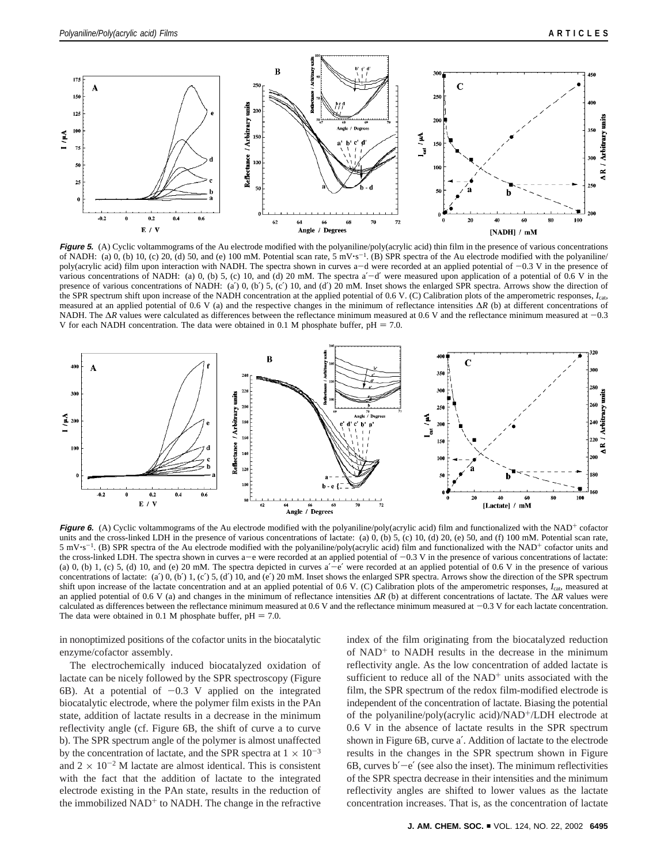

Figure 5. (A) Cyclic voltammograms of the Au electrode modified with the polyaniline/poly(acrylic acid) thin film in the presence of various concentrations of NADH: (a) 0, (b) 10, (c) 20, (d) 50, and (e) 100 mM. Potential scan rate,  $5 \text{ mV} \cdot \text{s}^{-1}$ . (B) SPR spectra of the Au electrode modified with the polyaniline/ poly(acrylic acid) film upon interaction with NADH. The spectra shown in curves a-d were recorded at an applied potential of  $-0.3$  V in the presence of various concentrations of NADH: (a)  $0$ , (b) 5, (c) 10, and (d) 20 mM. The spectra a'-d' were measured upon application of a potential of  $0.6$  V in the presence of various concentrations of NADH: (a') 0, (b') 5, (c') 10, and (d') 20 mM. Inset shows the enlarged SPR spectra. Arrows show the direction of the SPR spectrum shift upon increase of the NADH concentration at the applied potential of 0.6 V. (C) Calibration plots of the amperometric responses, *I*cat, measured at an applied potential of 0.6 V (a) and the respective changes in the minimum of reflectance intensities ∆*R* (b) at different concentrations of NADH. The Δ*R* values were calculated as differences between the reflectance minimum measured at 0.6 V and the reflectance minimum measured at -0.3 V for each NADH concentration. The data were obtained in 0.1 M phosphate buffer,  $pH = 7.0$ .



Figure 6. (A) Cyclic voltammograms of the Au electrode modified with the polyaniline/poly(acrylic acid) film and functionalized with the NAD<sup>+</sup> cofactor units and the cross-linked LDH in the presence of various concentrations of lactate: (a)  $0$ ,  $($ b)  $5$ ,  $($ c)  $10$ ,  $($ d)  $20$ ,  $($ e)  $50$ , and  $(f)$  100 mM. Potential scan rate,  $5 \text{ mV} \cdot \text{s}^{-1}$ . (B) SPR spectra of the Au electrode modified with the polyaniline/poly(acrylic acid) film and functionalized with the NAD<sup>+</sup> cofactor units and the cross-linked LDH. The spectra shown in curves  $a-e$  were recorded at an applied potential of  $-0.3$  V in the presence of various concentrations of lactate: (a) 0, (b) 1, (c) 5, (d) 10, and (e) 20 mM. The spectra depicted in curves  $a'-e'$  were recorded at an applied potential of 0.6 V in the presence of various concentrations of lactate: (a') 0, (b') 1, (c') 5, (d') 10, and (e') 20 mM. Inset shows the enlarged SPR spectra. Arrows show the direction of the SPR spectrum shift upon increase of the lactate concentration and at an applied potential of 0.6 V. (C) Calibration plots of the amperometric responses, *I*cat, measured at an applied potential of 0.6 V (a) and changes in the minimum of reflectance intensities ∆*R* (b) at different concentrations of lactate. The ∆*R* values were calculated as differences between the reflectance minimum measured at 0.6 V and the reflectance minimum measured at  $-0.3$  V for each lactate concentration. The data were obtained in 0.1 M phosphate buffer,  $pH = 7.0$ .

in nonoptimized positions of the cofactor units in the biocatalytic enzyme/cofactor assembly.

The electrochemically induced biocatalyzed oxidation of lactate can be nicely followed by the SPR spectroscopy (Figure 6B). At a potential of  $-0.3$  V applied on the integrated biocatalytic electrode, where the polymer film exists in the PAn state, addition of lactate results in a decrease in the minimum reflectivity angle (cf. Figure 6B, the shift of curve a to curve b). The SPR spectrum angle of the polymer is almost unaffected by the concentration of lactate, and the SPR spectra at  $1 \times 10^{-3}$ and  $2 \times 10^{-2}$  M lactate are almost identical. This is consistent with the fact that the addition of lactate to the integrated electrode existing in the PAn state, results in the reduction of the immobilized  $NAD<sup>+</sup>$  to NADH. The change in the refractive

index of the film originating from the biocatalyzed reduction of  $NAD<sup>+</sup>$  to  $NADH$  results in the decrease in the minimum reflectivity angle. As the low concentration of added lactate is sufficient to reduce all of the  $NAD<sup>+</sup>$  units associated with the film, the SPR spectrum of the redox film-modified electrode is independent of the concentration of lactate. Biasing the potential of the polyaniline/poly(acrylic acid)/NAD+/LDH electrode at 0.6 V in the absence of lactate results in the SPR spectrum shown in Figure 6B, curve a′. Addition of lactate to the electrode results in the changes in the SPR spectrum shown in Figure 6B, curves  $b'$  –e' (see also the inset). The minimum reflectivities of the SPR spectra decrease in their intensities and the minimum reflectivity angles are shifted to lower values as the lactate concentration increases. That is, as the concentration of lactate